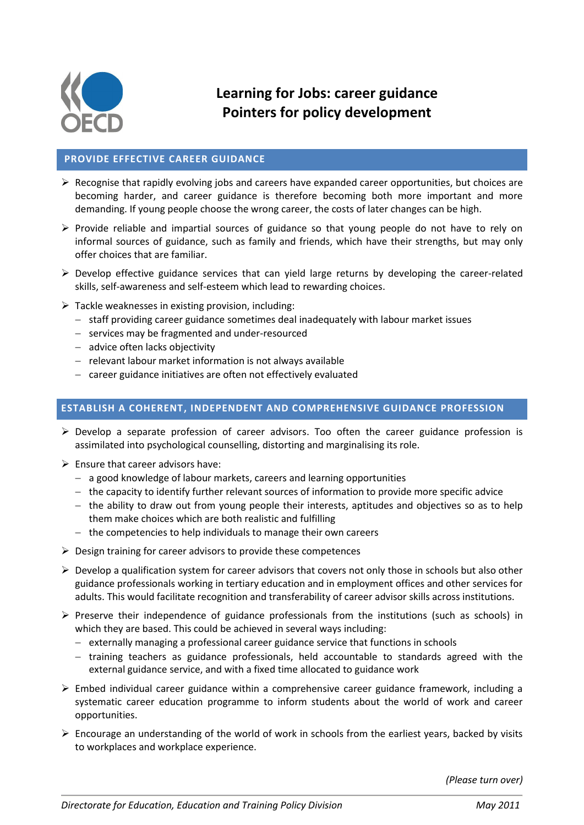

# **Learning for Jobs: career guidance Pointers for policy development**

#### **PROVIDE EFFECTIVE CAREER GUIDANCE**

- $\triangleright$  Recognise that rapidly evolving jobs and careers have expanded career opportunities, but choices are becoming harder, and career guidance is therefore becoming both more important and more demanding. If young people choose the wrong career, the costs of later changes can be high.
- $\triangleright$  Provide reliable and impartial sources of guidance so that young people do not have to rely on informal sources of guidance, such as family and friends, which have their strengths, but may only offer choices that are familiar.
- $\triangleright$  Develop effective guidance services that can yield large returns by developing the career-related skills, self-awareness and self-esteem which lead to rewarding choices.
- $\triangleright$  Tackle weaknesses in existing provision, including:
	- staff providing career guidance sometimes deal inadequately with labour market issues
	- services may be fragmented and under-resourced
	- $-$  advice often lacks objectivity
	- $-$  relevant labour market information is not always available
	- career guidance initiatives are often not effectively evaluated

## **ESTABLISH A COHERENT, INDEPENDENT AND COMPREHENSIVE GUIDANCE PROFESSION**

- $\triangleright$  Develop a separate profession of career advisors. Too often the career guidance profession is assimilated into psychological counselling, distorting and marginalising its role.
- $\triangleright$  Ensure that career advisors have:
	- a good knowledge of labour markets, careers and learning opportunities
	- $-$  the capacity to identify further relevant sources of information to provide more specific advice
	- $-$  the ability to draw out from young people their interests, aptitudes and objectives so as to help them make choices which are both realistic and fulfilling
	- $-$  the competencies to help individuals to manage their own careers
- $\triangleright$  Design training for career advisors to provide these competences
- $\triangleright$  Develop a qualification system for career advisors that covers not only those in schools but also other guidance professionals working in tertiary education and in employment offices and other services for adults. This would facilitate recognition and transferability of career advisor skills across institutions.
- $\triangleright$  Preserve their independence of guidance professionals from the institutions (such as schools) in which they are based. This could be achieved in several ways including:
	- $-$  externally managing a professional career guidance service that functions in schools
	- $-$  training teachers as guidance professionals, held accountable to standards agreed with the external guidance service, and with a fixed time allocated to guidance work
- $\triangleright$  Embed individual career guidance within a comprehensive career guidance framework, including a systematic career education programme to inform students about the world of work and career opportunities.
- $\triangleright$  Encourage an understanding of the world of work in schools from the earliest years, backed by visits to workplaces and workplace experience.

*(Please turn over)*